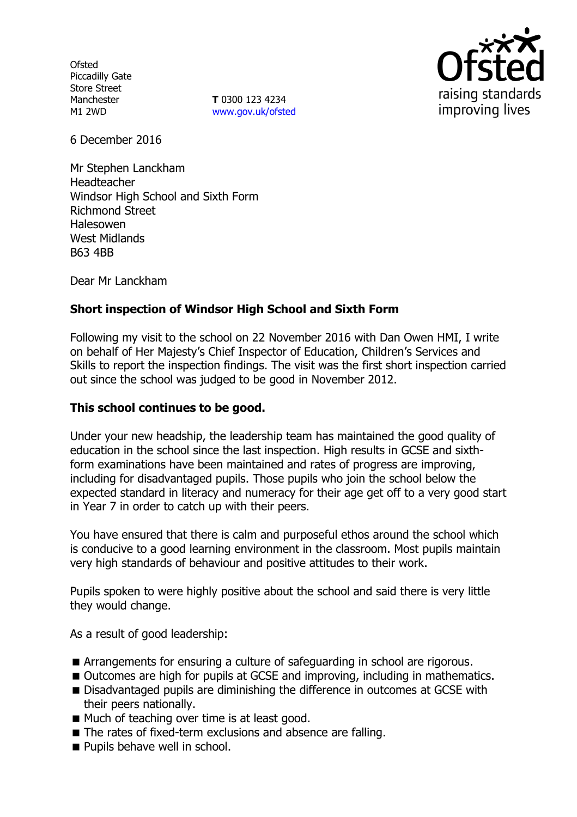**Ofsted** Piccadilly Gate Store Street Manchester M1 2WD

**T** 0300 123 4234 www.gov.uk/ofsted



6 December 2016

Mr Stephen Lanckham Headteacher Windsor High School and Sixth Form Richmond Street Halesowen West Midlands B63 4BB

Dear Mr Lanckham

# **Short inspection of Windsor High School and Sixth Form**

Following my visit to the school on 22 November 2016 with Dan Owen HMI, I write on behalf of Her Majesty's Chief Inspector of Education, Children's Services and Skills to report the inspection findings. The visit was the first short inspection carried out since the school was judged to be good in November 2012.

## **This school continues to be good.**

Under your new headship, the leadership team has maintained the good quality of education in the school since the last inspection. High results in GCSE and sixthform examinations have been maintained and rates of progress are improving, including for disadvantaged pupils. Those pupils who join the school below the expected standard in literacy and numeracy for their age get off to a very good start in Year 7 in order to catch up with their peers.

You have ensured that there is calm and purposeful ethos around the school which is conducive to a good learning environment in the classroom. Most pupils maintain very high standards of behaviour and positive attitudes to their work.

Pupils spoken to were highly positive about the school and said there is very little they would change.

As a result of good leadership:

- Arrangements for ensuring a culture of safeguarding in school are rigorous.
- Outcomes are high for pupils at GCSE and improving, including in mathematics.
- Disadvantaged pupils are diminishing the difference in outcomes at GCSE with their peers nationally.
- Much of teaching over time is at least good.
- The rates of fixed-term exclusions and absence are falling.
- **Pupils behave well in school.**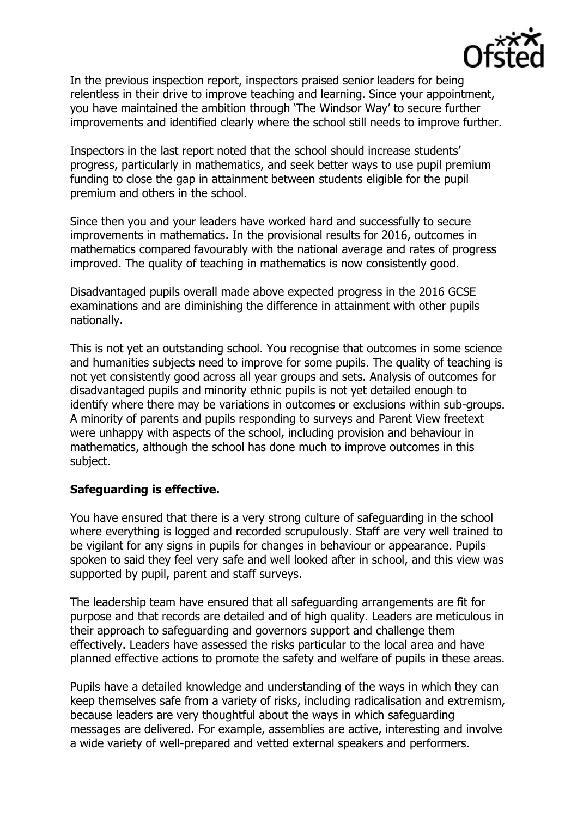

In the previous inspection report, inspectors praised senior leaders for being relentless in their drive to improve teaching and learning. Since your appointment, you have maintained the ambition through 'The Windsor Way' to secure further improvements and identified clearly where the school still needs to improve further.

Inspectors in the last report noted that the school should increase students' progress, particularly in mathematics, and seek better ways to use pupil premium funding to close the gap in attainment between students eligible for the pupil premium and others in the school.

Since then you and your leaders have worked hard and successfully to secure improvements in mathematics. In the provisional results for 2016, outcomes in mathematics compared favourably with the national average and rates of progress improved. The quality of teaching in mathematics is now consistently good.

Disadvantaged pupils overall made above expected progress in the 2016 GCSE examinations and are diminishing the difference in attainment with other pupils nationally.

This is not yet an outstanding school. You recognise that outcomes in some science and humanities subjects need to improve for some pupils. The quality of teaching is not yet consistently good across all year groups and sets. Analysis of outcomes for disadvantaged pupils and minority ethnic pupils is not yet detailed enough to identify where there may be variations in outcomes or exclusions within sub-groups. A minority of parents and pupils responding to surveys and Parent View freetext were unhappy with aspects of the school, including provision and behaviour in mathematics, although the school has done much to improve outcomes in this subject.

## **Safeguarding is effective.**

You have ensured that there is a very strong culture of safeguarding in the school where everything is logged and recorded scrupulously. Staff are very well trained to be vigilant for any signs in pupils for changes in behaviour or appearance. Pupils spoken to said they feel very safe and well looked after in school, and this view was supported by pupil, parent and staff surveys.

The leadership team have ensured that all safeguarding arrangements are fit for purpose and that records are detailed and of high quality. Leaders are meticulous in their approach to safeguarding and governors support and challenge them effectively. Leaders have assessed the risks particular to the local area and have planned effective actions to promote the safety and welfare of pupils in these areas.

Pupils have a detailed knowledge and understanding of the ways in which they can keep themselves safe from a variety of risks, including radicalisation and extremism, because leaders are very thoughtful about the ways in which safeguarding messages are delivered. For example, assemblies are active, interesting and involve a wide variety of well-prepared and vetted external speakers and performers.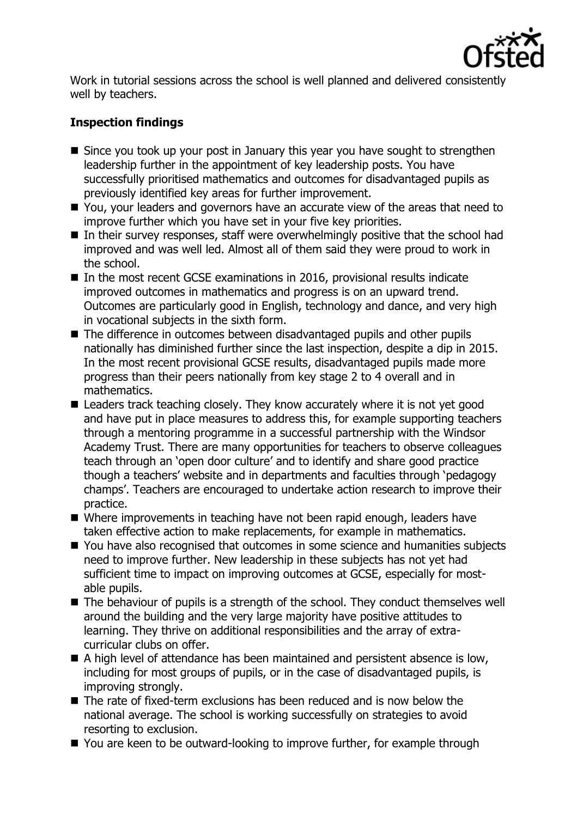

Work in tutorial sessions across the school is well planned and delivered consistently well by teachers.

# **Inspection findings**

- Since you took up your post in January this year you have sought to strengthen leadership further in the appointment of key leadership posts. You have successfully prioritised mathematics and outcomes for disadvantaged pupils as previously identified key areas for further improvement.
- You, your leaders and governors have an accurate view of the areas that need to improve further which you have set in your five key priorities.
- $\blacksquare$  In their survey responses, staff were overwhelmingly positive that the school had improved and was well led. Almost all of them said they were proud to work in the school.
- In the most recent GCSE examinations in 2016, provisional results indicate improved outcomes in mathematics and progress is on an upward trend. Outcomes are particularly good in English, technology and dance, and very high in vocational subjects in the sixth form.
- The difference in outcomes between disadvantaged pupils and other pupils nationally has diminished further since the last inspection, despite a dip in 2015. In the most recent provisional GCSE results, disadvantaged pupils made more progress than their peers nationally from key stage 2 to 4 overall and in mathematics.
- Leaders track teaching closely. They know accurately where it is not yet good and have put in place measures to address this, for example supporting teachers through a mentoring programme in a successful partnership with the Windsor Academy Trust. There are many opportunities for teachers to observe colleagues teach through an 'open door culture' and to identify and share good practice though a teachers' website and in departments and faculties through 'pedagogy champs'. Teachers are encouraged to undertake action research to improve their practice.
- Where improvements in teaching have not been rapid enough, leaders have taken effective action to make replacements, for example in mathematics.
- You have also recognised that outcomes in some science and humanities subjects need to improve further. New leadership in these subjects has not yet had sufficient time to impact on improving outcomes at GCSE, especially for mostable pupils.
- The behaviour of pupils is a strength of the school. They conduct themselves well around the building and the very large majority have positive attitudes to learning. They thrive on additional responsibilities and the array of extracurricular clubs on offer.
- A high level of attendance has been maintained and persistent absence is low, including for most groups of pupils, or in the case of disadvantaged pupils, is improving strongly.
- The rate of fixed-term exclusions has been reduced and is now below the national average. The school is working successfully on strategies to avoid resorting to exclusion.
- You are keen to be outward-looking to improve further, for example through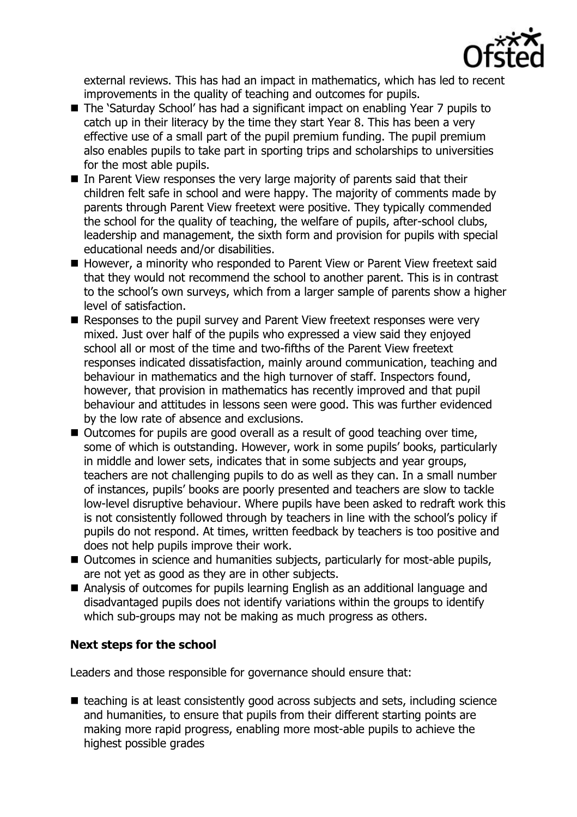

external reviews. This has had an impact in mathematics, which has led to recent improvements in the quality of teaching and outcomes for pupils.

- The 'Saturday School' has had a significant impact on enabling Year 7 pupils to catch up in their literacy by the time they start Year 8. This has been a very effective use of a small part of the pupil premium funding. The pupil premium also enables pupils to take part in sporting trips and scholarships to universities for the most able pupils.
- In Parent View responses the very large majority of parents said that their children felt safe in school and were happy. The majority of comments made by parents through Parent View freetext were positive. They typically commended the school for the quality of teaching, the welfare of pupils, after-school clubs, leadership and management, the sixth form and provision for pupils with special educational needs and/or disabilities.
- However, a minority who responded to Parent View or Parent View freetext said that they would not recommend the school to another parent. This is in contrast to the school's own surveys, which from a larger sample of parents show a higher level of satisfaction.
- Responses to the pupil survey and Parent View freetext responses were very mixed. Just over half of the pupils who expressed a view said they enjoyed school all or most of the time and two-fifths of the Parent View freetext responses indicated dissatisfaction, mainly around communication, teaching and behaviour in mathematics and the high turnover of staff. Inspectors found, however, that provision in mathematics has recently improved and that pupil behaviour and attitudes in lessons seen were good. This was further evidenced by the low rate of absence and exclusions.
- Outcomes for pupils are good overall as a result of good teaching over time, some of which is outstanding. However, work in some pupils' books, particularly in middle and lower sets, indicates that in some subjects and year groups, teachers are not challenging pupils to do as well as they can. In a small number of instances, pupils' books are poorly presented and teachers are slow to tackle low-level disruptive behaviour. Where pupils have been asked to redraft work this is not consistently followed through by teachers in line with the school's policy if pupils do not respond. At times, written feedback by teachers is too positive and does not help pupils improve their work.
- Outcomes in science and humanities subjects, particularly for most-able pupils, are not yet as good as they are in other subjects.
- Analysis of outcomes for pupils learning English as an additional language and disadvantaged pupils does not identify variations within the groups to identify which sub-groups may not be making as much progress as others.

# **Next steps for the school**

Leaders and those responsible for governance should ensure that:

 $\blacksquare$  teaching is at least consistently good across subjects and sets, including science and humanities, to ensure that pupils from their different starting points are making more rapid progress, enabling more most-able pupils to achieve the highest possible grades